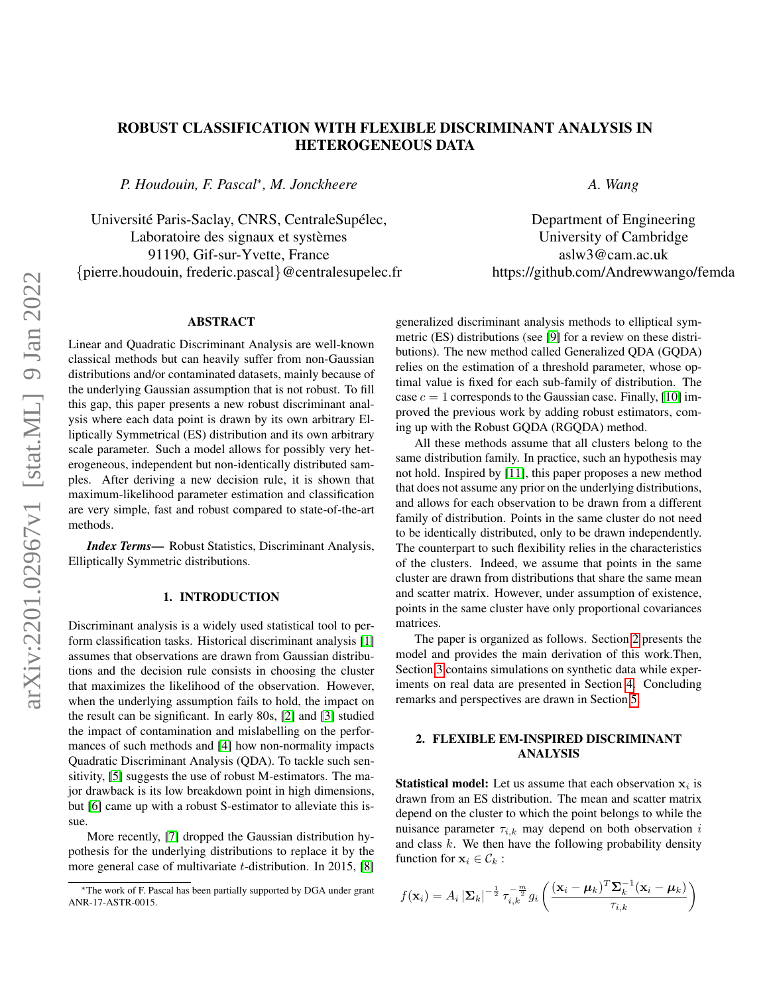# ROBUST CLASSIFICATION WITH FLEXIBLE DISCRIMINANT ANALYSIS IN HETEROGENEOUS DATA

*P. Houdouin, F. Pascal*<sup>∗</sup> *, M. Jonckheere*

Université Paris-Saclay, CNRS, CentraleSupélec, Laboratoire des signaux et systèmes 91190, Gif-sur-Yvette, France {pierre.houdouin, frederic.pascal}@centralesupelec.fr Department of Engineering University of Cambridge aslw3@cam.ac.uk

https://github.com/Andrewwango/femda

*A. Wang*

### ABSTRACT

Linear and Quadratic Discriminant Analysis are well-known classical methods but can heavily suffer from non-Gaussian distributions and/or contaminated datasets, mainly because of the underlying Gaussian assumption that is not robust. To fill this gap, this paper presents a new robust discriminant analysis where each data point is drawn by its own arbitrary Elliptically Symmetrical (ES) distribution and its own arbitrary scale parameter. Such a model allows for possibly very heterogeneous, independent but non-identically distributed samples. After deriving a new decision rule, it is shown that maximum-likelihood parameter estimation and classification are very simple, fast and robust compared to state-of-the-art methods.

*Index Terms*— Robust Statistics, Discriminant Analysis, Elliptically Symmetric distributions.

#### 1. INTRODUCTION

Discriminant analysis is a widely used statistical tool to perform classification tasks. Historical discriminant analysis [\[1\]](#page-4-0) assumes that observations are drawn from Gaussian distributions and the decision rule consists in choosing the cluster that maximizes the likelihood of the observation. However, when the underlying assumption fails to hold, the impact on the result can be significant. In early 80s, [\[2\]](#page-4-1) and [\[3\]](#page-4-2) studied the impact of contamination and mislabelling on the performances of such methods and [\[4\]](#page-4-3) how non-normality impacts Quadratic Discriminant Analysis (QDA). To tackle such sensitivity, [\[5\]](#page-4-4) suggests the use of robust M-estimators. The major drawback is its low breakdown point in high dimensions, but [\[6\]](#page-4-5) came up with a robust S-estimator to alleviate this issue.

More recently, [\[7\]](#page-4-6) dropped the Gaussian distribution hypothesis for the underlying distributions to replace it by the more general case of multivariate t-distribution. In 2015, [\[8\]](#page-4-7) generalized discriminant analysis methods to elliptical symmetric (ES) distributions (see [\[9\]](#page-4-8) for a review on these distributions). The new method called Generalized QDA (GQDA) relies on the estimation of a threshold parameter, whose optimal value is fixed for each sub-family of distribution. The case  $c = 1$  corresponds to the Gaussian case. Finally, [\[10\]](#page-4-9) improved the previous work by adding robust estimators, coming up with the Robust GQDA (RGQDA) method.

All these methods assume that all clusters belong to the same distribution family. In practice, such an hypothesis may not hold. Inspired by [\[11\]](#page-4-10), this paper proposes a new method that does not assume any prior on the underlying distributions, and allows for each observation to be drawn from a different family of distribution. Points in the same cluster do not need to be identically distributed, only to be drawn independently. The counterpart to such flexibility relies in the characteristics of the clusters. Indeed, we assume that points in the same cluster are drawn from distributions that share the same mean and scatter matrix. However, under assumption of existence, points in the same cluster have only proportional covariances matrices.

The paper is organized as follows. Section [2](#page-0-0) presents the model and provides the main derivation of this work.Then, Section [3](#page-1-0) contains simulations on synthetic data while experiments on real data are presented in Section [4.](#page-2-0) Concluding remarks and perspectives are drawn in Section [5.](#page-3-0)

# <span id="page-0-0"></span>2. FLEXIBLE EM-INSPIRED DISCRIMINANT ANALYSIS

**Statistical model:** Let us assume that each observation  $x_i$  is drawn from an ES distribution. The mean and scatter matrix depend on the cluster to which the point belongs to while the nuisance parameter  $\tau_{i,k}$  may depend on both observation i and class  $k$ . We then have the following probability density function for  $x_i \in \mathcal{C}_k$ :

$$
f(\mathbf{x}_i) = A_i |\mathbf{\Sigma}_k|^{-\frac{1}{2}} \tau_{i,k}^{-\frac{m}{2}} g_i \left( \frac{(\mathbf{x}_i - \boldsymbol{\mu}_k)^T \mathbf{\Sigma}_k^{-1} (\mathbf{x}_i - \boldsymbol{\mu}_k)}{\tau_{i,k}} \right)
$$

<sup>∗</sup>The work of F. Pascal has been partially supported by DGA under grant ANR-17-ASTR-0015.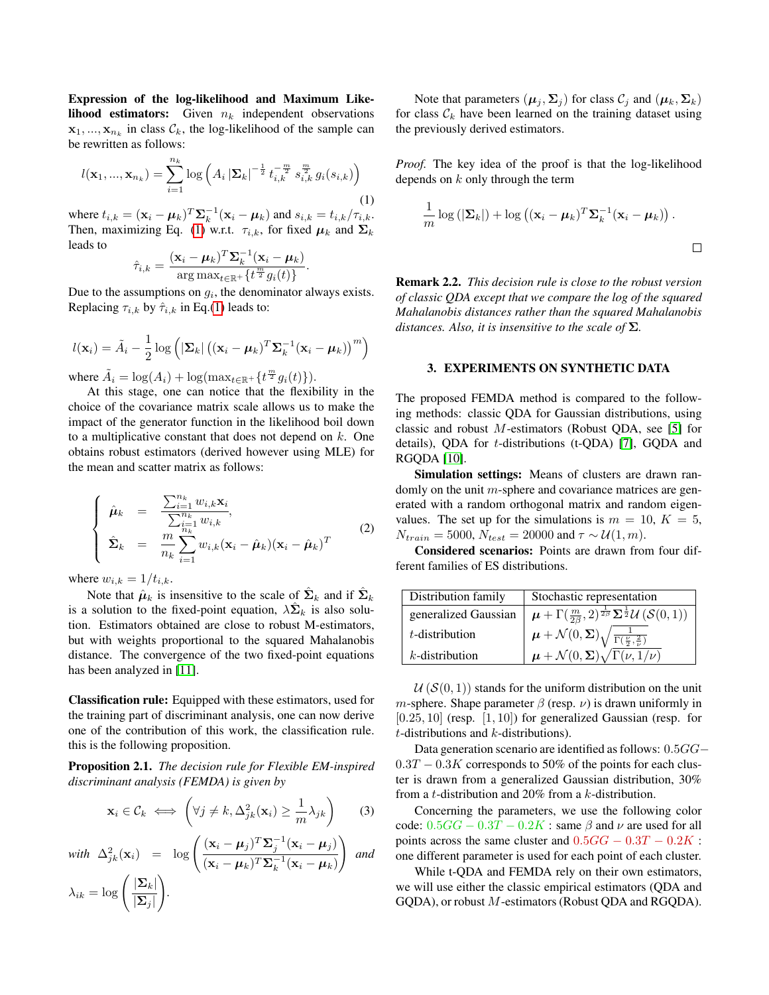Expression of the log-likelihood and Maximum Likelihood estimators: Given  $n_k$  independent observations  $\mathbf{x}_1, ..., \mathbf{x}_{n_k}$  in class  $\mathcal{C}_k$ , the log-likelihood of the sample can be rewritten as follows:

<span id="page-1-1"></span>
$$
l(\mathbf{x}_1, ..., \mathbf{x}_{n_k}) = \sum_{i=1}^{n_k} \log \left( A_i \left| \mathbf{\Sigma}_k \right|^{-\frac{1}{2}} t_{i,k}^{-\frac{m}{2}} s_{i,k}^{\frac{m}{2}} g_i(s_{i,k}) \right)
$$
(1)

where  $t_{i,k} = (\mathbf{x}_i - \boldsymbol{\mu}_k)^T \boldsymbol{\Sigma}_k^{-1} (\mathbf{x}_i - \boldsymbol{\mu}_k)$  and  $s_{i,k} = t_{i,k}/\tau_{i,k}$ . Then, maximizing Eq. [\(1\)](#page-1-1) w.r.t.  $\tau_{i,k}$ , for fixed  $\mu_k$  and  $\Sigma_k$ leads to

$$
\hat{\tau}_{i,k} = \frac{(\mathbf{x}_i - \boldsymbol{\mu}_k)^T \boldsymbol{\Sigma}_k^{-1} (\mathbf{x}_i - \boldsymbol{\mu}_k)}{\arg \max_{t \in \mathbb{R}^+} \{t^{\frac{m}{2}} g_i(t)\}}.
$$

Due to the assumptions on  $g_i$ , the denominator always exists. Replacing  $\tau_{i,k}$  by  $\hat{\tau}_{i,k}$  in Eq.[\(1\)](#page-1-1) leads to:

$$
l(\mathbf{x}_i) = \tilde{A}_i - \frac{1}{2} \log \left( |\mathbf{\Sigma}_k| \left( (\mathbf{x}_i - \boldsymbol{\mu}_k)^T \mathbf{\Sigma}_k^{-1} (\mathbf{x}_i - \boldsymbol{\mu}_k) \right)^m \right)
$$

where  $\tilde{A}_i = \log(A_i) + \log(\max_{t \in \mathbb{R}^+} {\{t^{\frac{m}{2}} g_i(t)\}}).$ 

At this stage, one can notice that the flexibility in the choice of the covariance matrix scale allows us to make the impact of the generator function in the likelihood boil down to a multiplicative constant that does not depend on k. One obtains robust estimators (derived however using MLE) for the mean and scatter matrix as follows:

$$
\begin{cases}\n\hat{\boldsymbol{\mu}}_k = \frac{\sum_{i=1}^{n_k} w_{i,k} \mathbf{x}_i}{\sum_{i=1}^{n_k} w_{i,k}}, \\
\hat{\boldsymbol{\Sigma}}_k = \frac{m}{n_k} \sum_{i=1}^{n_k} w_{i,k} (\mathbf{x}_i - \hat{\boldsymbol{\mu}}_k) (\mathbf{x}_i - \hat{\boldsymbol{\mu}}_k)^T\n\end{cases}
$$
\n(2)

where  $w_{i,k} = 1/t_{i,k}$ .

Note that  $\hat{\mu}_k$  is insensitive to the scale of  $\hat{\Sigma}_k$  and if  $\hat{\Sigma}_k$ is a solution to the fixed-point equation,  $\lambda \hat{\Sigma}_k$  is also solution. Estimators obtained are close to robust M-estimators, but with weights proportional to the squared Mahalanobis distance. The convergence of the two fixed-point equations has been analyzed in [\[11\]](#page-4-10).

Classification rule: Equipped with these estimators, used for the training part of discriminant analysis, one can now derive one of the contribution of this work, the classification rule. this is the following proposition.

Proposition 2.1. *The decision rule for Flexible EM-inspired discriminant analysis (FEMDA) is given by*

$$
\mathbf{x}_i \in \mathcal{C}_k \iff \left(\forall j \neq k, \Delta_{jk}^2(\mathbf{x}_i) \ge \frac{1}{m} \lambda_{jk}\right) \tag{3}
$$

with 
$$
\Delta_{jk}^2(\mathbf{x}_i) = \log \left( \frac{(\mathbf{x}_i - \boldsymbol{\mu}_j)^T \boldsymbol{\Sigma}_j^{-1} (\mathbf{x}_i - \boldsymbol{\mu}_j)}{(\mathbf{x}_i - \boldsymbol{\mu}_k)^T \boldsymbol{\Sigma}_k^{-1} (\mathbf{x}_i - \boldsymbol{\mu}_k)} \right)
$$
 and  
\n
$$
\lambda_{ik} = \log \left( \frac{|\boldsymbol{\Sigma}_k|}{|\boldsymbol{\Sigma}_j|} \right).
$$

Note that parameters  $(\mu_j, \Sigma_j)$  for class  $\mathcal{C}_j$  and  $(\mu_k, \Sigma_k)$ for class  $\mathcal{C}_k$  have been learned on the training dataset using the previously derived estimators.

*Proof.* The key idea of the proof is that the log-likelihood depends on  $k$  only through the term

$$
\frac{1}{m}\log\left(|\mathbf{\Sigma}_{k}|\right)+\log\left((\mathbf{x}_{i}-\boldsymbol{\mu}_{k})^{T}\mathbf{\Sigma}_{k}^{-1}(\mathbf{x}_{i}-\boldsymbol{\mu}_{k})\right).
$$

Remark 2.2. *This decision rule is close to the robust version of classic QDA except that we compare the log of the squared Mahalanobis distances rather than the squared Mahalanobis distances. Also, it is insensitive to the scale of* Σ*.*

#### <span id="page-1-0"></span>3. EXPERIMENTS ON SYNTHETIC DATA

The proposed FEMDA method is compared to the following methods: classic QDA for Gaussian distributions, using classic and robust M-estimators (Robust QDA, see [\[5\]](#page-4-4) for details), QDA for t-distributions (t-QDA) [\[7\]](#page-4-6), GQDA and RGQDA [\[10\]](#page-4-9).

Simulation settings: Means of clusters are drawn randomly on the unit m-sphere and covariance matrices are generated with a random orthogonal matrix and random eigenvalues. The set up for the simulations is  $m = 10, K = 5$ ,  $N_{train} = 5000$ ,  $N_{test} = 20000$  and  $\tau \sim \mathcal{U}(1, m)$ .

Considered scenarios: Points are drawn from four different families of ES distributions.

| Distribution family  | Stochastic representation                                                                                                                          |  |
|----------------------|----------------------------------------------------------------------------------------------------------------------------------------------------|--|
| generalized Gaussian | $\boldsymbol{\mu} + \Gamma(\frac{m}{2\beta}, 2)^{\frac{1}{2\beta}} \boldsymbol{\Sigma}^{\frac{1}{2}} \mathcal{U} \left( \mathcal{S}(0, 1) \right)$ |  |
| $t$ -distribution    | $\mu + \mathcal{N}(0, \boldsymbol{\Sigma}) \sqrt{\frac{1}{\Gamma(\frac{\nu}{2}, \frac{2}{\nu})}}$                                                  |  |
| $k$ -distribution    | $\mu + \mathcal{N}(0, \Sigma) \sqrt{\Gamma(\nu, 1/\nu)}$                                                                                           |  |

 $U(S(0, 1))$  stands for the uniform distribution on the unit *m*-sphere. Shape parameter  $\beta$  (resp.  $\nu$ ) is drawn uniformly in  $[0.25, 10]$  (resp.  $[1, 10]$ ) for generalized Gaussian (resp. for  $t$ -distributions and  $k$ -distributions).

Data generation scenario are identified as follows: 0.5GG−  $0.3T - 0.3K$  corresponds to 50% of the points for each cluster is drawn from a generalized Gaussian distribution, 30% from a t-distribution and 20% from a k-distribution.

Concerning the parameters, we use the following color code:  $0.5GG - 0.3T - 0.2K$ : same  $\beta$  and  $\nu$  are used for all points across the same cluster and  $0.5GG - 0.3T - 0.2K$ : one different parameter is used for each point of each cluster.

While t-QDA and FEMDA rely on their own estimators, we will use either the classic empirical estimators (QDA and GQDA), or robust M-estimators (Robust QDA and RGQDA).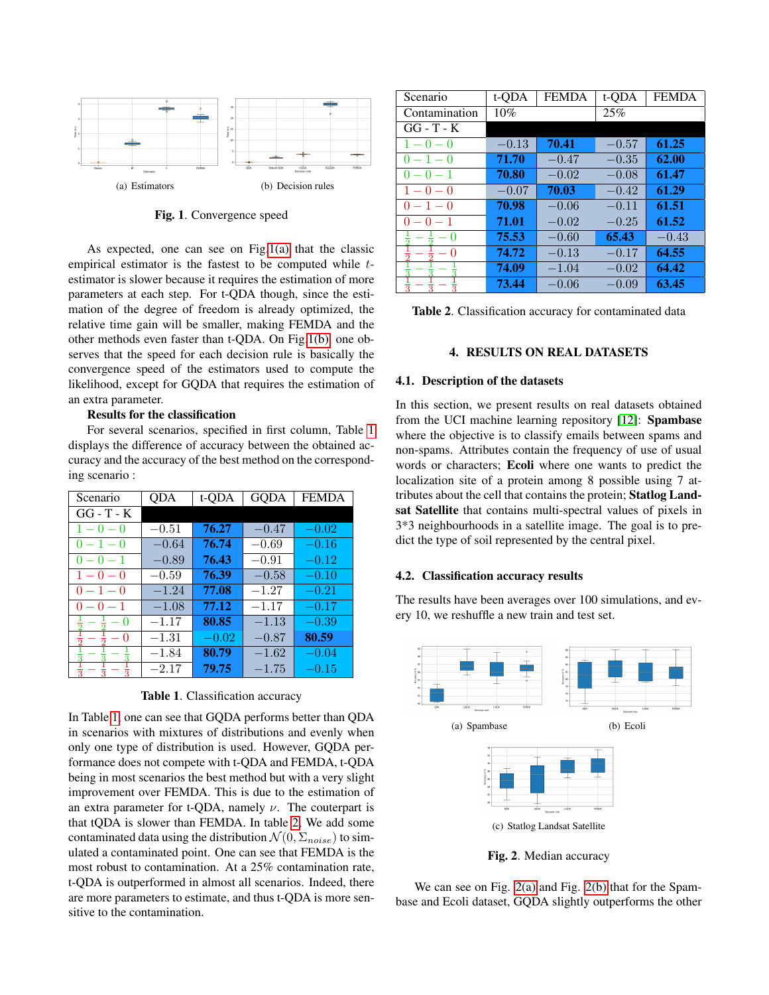<span id="page-2-1"></span>

<span id="page-2-2"></span>Fig. 1. Convergence speed

As expected, one can see on Fig[.1\(a\)](#page-2-1) that the classic empirical estimator is the fastest to be computed while testimator is slower because it requires the estimation of more parameters at each step. For t-QDA though, since the estimation of the degree of freedom is already optimized, the relative time gain will be smaller, making FEMDA and the other methods even faster than t-QDA. On Fig[.1\(b\),](#page-2-2) one observes that the speed for each decision rule is basically the convergence speed of the estimators used to compute the likelihood, except for GQDA that requires the estimation of an extra parameter.

# Results for the classification

For several scenarios, specified in first column, Table [1](#page-2-3) displays the difference of accuracy between the obtained accuracy and the accuracy of the best method on the corresponding scenario :

| Scenario     | QDA     | t-QDA   | GODA    | <b>FEMDA</b> |
|--------------|---------|---------|---------|--------------|
| $GG - T - K$ |         |         |         |              |
| $1 - 0 - 0$  | $-0.51$ | 76.27   | $-0.47$ | $-0.02$      |
| $-1-0$<br>0  | $-0.64$ | 76.74   | $-0.69$ | $-0.16$      |
| $0 - 0 - 1$  | $-0.89$ | 76.43   | $-0.91$ | $-0.12$      |
| $1 - 0 - 0$  | $-0.59$ | 76.39   | $-0.58$ | $-0.10$      |
| $0 - 1 - 0$  | $-1.24$ | 77.08   | $-1.27$ | $-0.21$      |
| $0 - 0 - 1$  | $-1.08$ | 77.12   | $-1.17$ | $-0.17$      |
| $\cup$       | $-1.17$ | 80.85   | $-1.13$ | $-0.39$      |
| $\Omega$     | $-1.31$ | $-0.02$ | $-0.87$ | 80.59        |
|              | $-1.84$ | 80.79   | $-1.62$ | $-0.04$      |
|              | $-2.17$ | 79.75   | $-1.75$ | $-0.15$      |

<span id="page-2-3"></span>Table 1. Classification accuracy

In Table [1,](#page-2-3) one can see that GQDA performs better than QDA in scenarios with mixtures of distributions and evenly when only one type of distribution is used. However, GQDA performance does not compete with t-QDA and FEMDA, t-QDA being in most scenarios the best method but with a very slight improvement over FEMDA. This is due to the estimation of an extra parameter for t-QDA, namely  $\nu$ . The couterpart is that tQDA is slower than FEMDA. In table [2,](#page-2-4) We add some contaminated data using the distribution  $\mathcal{N}(0, \Sigma_{noise})$  to simulated a contaminated point. One can see that FEMDA is the most robust to contamination. At a 25% contamination rate, t-QDA is outperformed in almost all scenarios. Indeed, there are more parameters to estimate, and thus t-QDA is more sensitive to the contamination.

| Scenario      | t-QDA   | <b>FEMDA</b> | t-ODA   | <b>FEMDA</b> |
|---------------|---------|--------------|---------|--------------|
| Contamination | $10\%$  |              | 25%     |              |
| $GG - T - K$  |         |              |         |              |
| $1 - 0 - 0$   | $-0.13$ | 70.41        | $-0.57$ | 61.25        |
| $0 - 1 - 0$   | 71.70   | $-0.47$      | $-0.35$ | 62.00        |
| $0 - 0 - 1$   | 70.80   | $-0.02$      | $-0.08$ | 61.47        |
| $1 - 0 - 0$   | $-0.07$ | 70.03        | $-0.42$ | 61.29        |
| $0 - 1 - 0$   | 70.98   | $-0.06$      | $-0.11$ | 61.51        |
| $0 - 0 - 1$   | 71.01   | $-0.02$      | $-0.25$ | 61.52        |
| 0             | 75.53   | $-0.60$      | 65.43   | $-0.43$      |
| 0             | 74.72   | $-0.13$      | $-0.17$ | 64.55        |
|               | 74.09   | $-1.04$      | $-0.02$ | 64.42        |
|               | 73.44   | $-0.06$      | $-0.09$ | 63.45        |

| <b>Table 2.</b> Classification accuracy for contaminated data |
|---------------------------------------------------------------|
|---------------------------------------------------------------|

# <span id="page-2-4"></span>4. RESULTS ON REAL DATASETS

#### <span id="page-2-0"></span>4.1. Description of the datasets

In this section, we present results on real datasets obtained from the UCI machine learning repository [\[12\]](#page-4-11): Spambase where the objective is to classify emails between spams and non-spams. Attributes contain the frequency of use of usual words or characters; Ecoli where one wants to predict the localization site of a protein among 8 possible using 7 attributes about the cell that contains the protein; Statlog Landsat Satellite that contains multi-spectral values of pixels in 3\*3 neighbourhoods in a satellite image. The goal is to predict the type of soil represented by the central pixel.

### 4.2. Classification accuracy results

The results have been averages over 100 simulations, and every 10, we reshuffle a new train and test set.

<span id="page-2-5"></span>

<span id="page-2-7"></span><span id="page-2-6"></span>Fig. 2. Median accuracy

We can see on Fig. [2\(a\)](#page-2-5) and Fig. [2\(b\)](#page-2-6) that for the Spambase and Ecoli dataset, GQDA slightly outperforms the other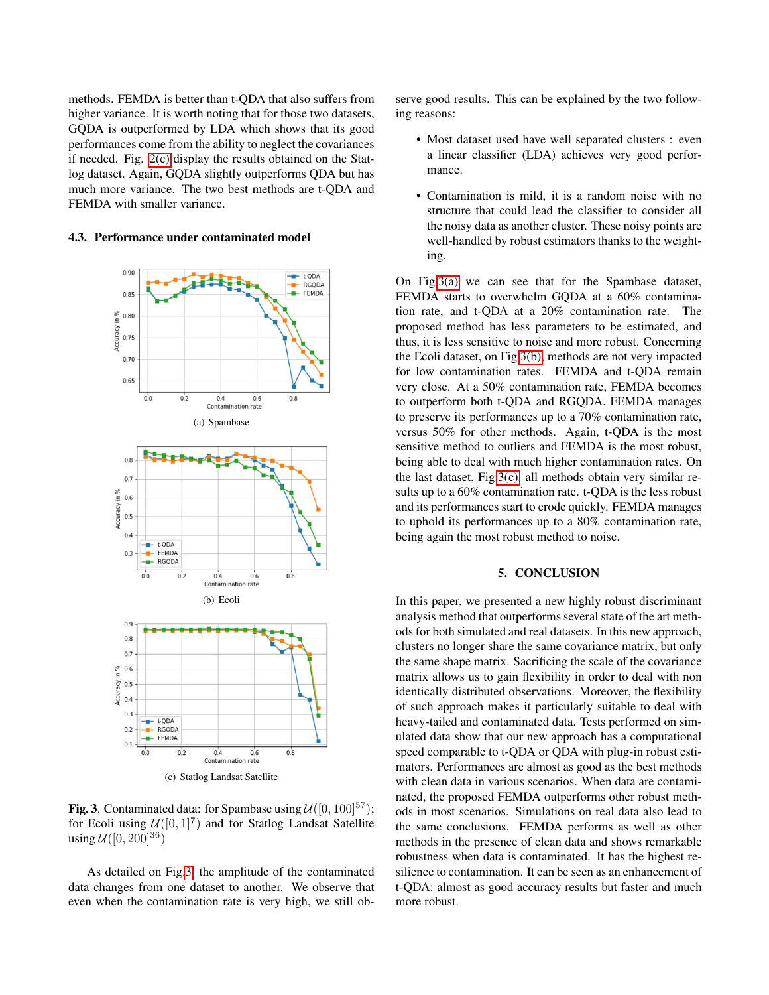methods. FEMDA is better than t-QDA that also suffers from higher variance. It is worth noting that for those two datasets, GQDA is outperformed by LDA which shows that its good performances come from the ability to neglect the covariances if needed. Fig. [2\(c\)](#page-2-7) display the results obtained on the Statlog dataset. Again, GQDA slightly outperforms QDA but has much more variance. The two best methods are t-QDA and FEMDA with smaller variance.

#### <span id="page-3-2"></span>4.3. Performance under contaminated model



<span id="page-3-4"></span><span id="page-3-3"></span><span id="page-3-1"></span>**Fig. 3.** Contaminated data: for Spambase using  $\mathcal{U}([0, 100]^{57})$ ; for Ecoli using  $\mathcal{U}([0,1]^7)$  and for Statlog Landsat Satellite using  $U([0, 200]^{36})$ 

As detailed on Fig[.3,](#page-3-1) the amplitude of the contaminated data changes from one dataset to another. We observe that even when the contamination rate is very high, we still observe good results. This can be explained by the two following reasons:

- Most dataset used have well separated clusters : even a linear classifier (LDA) achieves very good performance.
- Contamination is mild, it is a random noise with no structure that could lead the classifier to consider all the noisy data as another cluster. These noisy points are well-handled by robust estimators thanks to the weighting.

On Fig[.3\(a\)](#page-3-2) we can see that for the Spambase dataset, FEMDA starts to overwhelm GQDA at a 60% contamination rate, and t-QDA at a 20% contamination rate. The proposed method has less parameters to be estimated, and thus, it is less sensitive to noise and more robust. Concerning the Ecoli dataset, on Fig[.3\(b\),](#page-3-3) methods are not very impacted for low contamination rates. FEMDA and t-QDA remain very close. At a 50% contamination rate, FEMDA becomes to outperform both t-QDA and RGQDA. FEMDA manages to preserve its performances up to a 70% contamination rate, versus 50% for other methods. Again, t-QDA is the most sensitive method to outliers and FEMDA is the most robust, being able to deal with much higher contamination rates. On the last dataset, Fig[.3\(c\),](#page-3-4) all methods obtain very similar results up to a 60% contamination rate. t-QDA is the less robust and its performances start to erode quickly. FEMDA manages to uphold its performances up to a 80% contamination rate, being again the most robust method to noise.

### 5. CONCLUSION

<span id="page-3-0"></span>In this paper, we presented a new highly robust discriminant analysis method that outperforms several state of the art methods for both simulated and real datasets. In this new approach, clusters no longer share the same covariance matrix, but only the same shape matrix. Sacrificing the scale of the covariance matrix allows us to gain flexibility in order to deal with non identically distributed observations. Moreover, the flexibility of such approach makes it particularly suitable to deal with heavy-tailed and contaminated data. Tests performed on simulated data show that our new approach has a computational speed comparable to t-QDA or QDA with plug-in robust estimators. Performances are almost as good as the best methods with clean data in various scenarios. When data are contaminated, the proposed FEMDA outperforms other robust methods in most scenarios. Simulations on real data also lead to the same conclusions. FEMDA performs as well as other methods in the presence of clean data and shows remarkable robustness when data is contaminated. It has the highest resilience to contamination. It can be seen as an enhancement of t-QDA: almost as good accuracy results but faster and much more robust.